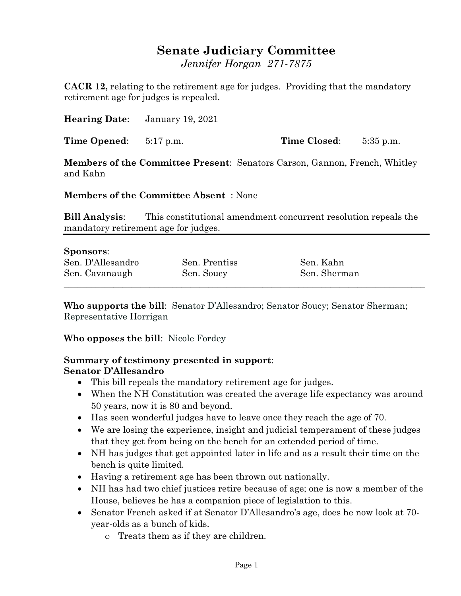## **Senate Judiciary Committee**

*Jennifer Horgan 271-7875*

**CACR 12,** relating to the retirement age for judges. Providing that the mandatory retirement age for judges is repealed.

**Hearing Date**: January 19, 2021

**Time Opened**: 5:17 p.m. **Time Closed**: 5:35 p.m.

**Members of the Committee Present**: Senators Carson, Gannon, French, Whitley and Kahn

**Members of the Committee Absent** : None

**Bill Analysis**: This constitutional amendment concurrent resolution repeals the mandatory retirement age for judges.

### **Sponsors**:

| Sen. D'Allesandro | Sen. Prentiss | Sen. Kahn    |  |
|-------------------|---------------|--------------|--|
| Sen. Cavanaugh    | Sen. Soucy    | Sen. Sherman |  |
|                   |               |              |  |

**Who supports the bill**: Senator D'Allesandro; Senator Soucy; Senator Sherman; Representative Horrigan

**Who opposes the bill**: Nicole Fordey

#### **Summary of testimony presented in support**: **Senator D'Allesandro**

- This bill repeals the mandatory retirement age for judges.
- When the NH Constitution was created the average life expectancy was around 50 years, now it is 80 and beyond.
- Has seen wonderful judges have to leave once they reach the age of 70.
- We are losing the experience, insight and judicial temperament of these judges that they get from being on the bench for an extended period of time.
- NH has judges that get appointed later in life and as a result their time on the bench is quite limited.
- Having a retirement age has been thrown out nationally.
- NH has had two chief justices retire because of age; one is now a member of the House, believes he has a companion piece of legislation to this.
- Senator French asked if at Senator D'Allesandro's age, does he now look at 70 year-olds as a bunch of kids.
	- o Treats them as if they are children.